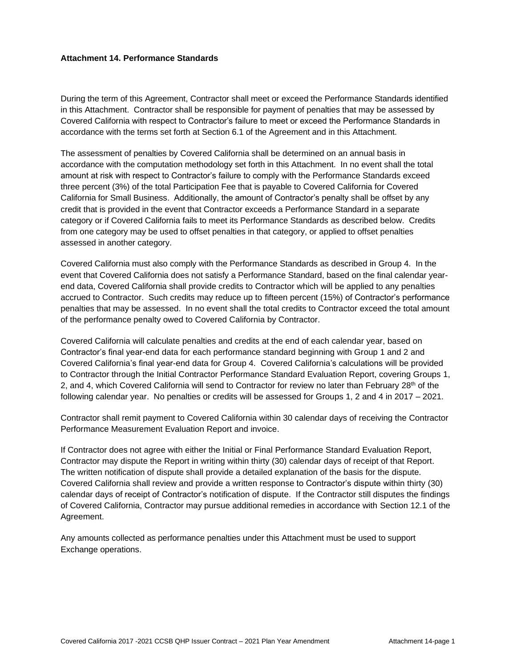#### **Attachment 14. Performance Standards**

During the term of this Agreement, Contractor shall meet or exceed the Performance Standards identified in this Attachment. Contractor shall be responsible for payment of penalties that may be assessed by Covered California with respect to Contractor's failure to meet or exceed the Performance Standards in accordance with the terms set forth at Section 6.1 of the Agreement and in this Attachment.

The assessment of penalties by Covered California shall be determined on an annual basis in accordance with the computation methodology set forth in this Attachment. In no event shall the total amount at risk with respect to Contractor's failure to comply with the Performance Standards exceed three percent (3%) of the total Participation Fee that is payable to Covered California for Covered California for Small Business. Additionally, the amount of Contractor's penalty shall be offset by any credit that is provided in the event that Contractor exceeds a Performance Standard in a separate category or if Covered California fails to meet its Performance Standards as described below. Credits from one category may be used to offset penalties in that category, or applied to offset penalties assessed in another category.

Covered California must also comply with the Performance Standards as described in Group 4. In the event that Covered California does not satisfy a Performance Standard, based on the final calendar yearend data, Covered California shall provide credits to Contractor which will be applied to any penalties accrued to Contractor. Such credits may reduce up to fifteen percent (15%) of Contractor's performance penalties that may be assessed. In no event shall the total credits to Contractor exceed the total amount of the performance penalty owed to Covered California by Contractor.

Covered California will calculate penalties and credits at the end of each calendar year, based on Contractor's final year-end data for each performance standard beginning with Group 1 and 2 and Covered California's final year-end data for Group 4. Covered California's calculations will be provided to Contractor through the Initial Contractor Performance Standard Evaluation Report, covering Groups 1, 2, and 4, which Covered California will send to Contractor for review no later than February  $28<sup>th</sup>$  of the following calendar year. No penalties or credits will be assessed for Groups 1, 2 and 4 in 2017 – 2021.

Contractor shall remit payment to Covered California within 30 calendar days of receiving the Contractor Performance Measurement Evaluation Report and invoice.

If Contractor does not agree with either the Initial or Final Performance Standard Evaluation Report, Contractor may dispute the Report in writing within thirty (30) calendar days of receipt of that Report. The written notification of dispute shall provide a detailed explanation of the basis for the dispute. Covered California shall review and provide a written response to Contractor's dispute within thirty (30) calendar days of receipt of Contractor's notification of dispute. If the Contractor still disputes the findings of Covered California, Contractor may pursue additional remedies in accordance with Section 12.1 of the Agreement.

Any amounts collected as performance penalties under this Attachment must be used to support Exchange operations.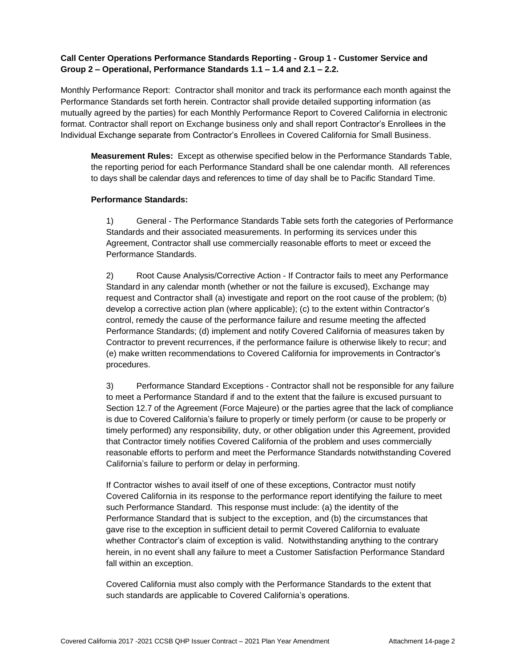## **Call Center Operations Performance Standards Reporting - Group 1 - Customer Service and Group 2 – Operational, Performance Standards 1.1 – 1.4 and 2.1 – 2.2.**

Monthly Performance Report: Contractor shall monitor and track its performance each month against the Performance Standards set forth herein. Contractor shall provide detailed supporting information (as mutually agreed by the parties) for each Monthly Performance Report to Covered California in electronic format. Contractor shall report on Exchange business only and shall report Contractor's Enrollees in the Individual Exchange separate from Contractor's Enrollees in Covered California for Small Business.

**Measurement Rules:** Except as otherwise specified below in the Performance Standards Table, the reporting period for each Performance Standard shall be one calendar month. All references to days shall be calendar days and references to time of day shall be to Pacific Standard Time.

#### **Performance Standards:**

1) General - The Performance Standards Table sets forth the categories of Performance Standards and their associated measurements. In performing its services under this Agreement, Contractor shall use commercially reasonable efforts to meet or exceed the Performance Standards.

2) Root Cause Analysis/Corrective Action - If Contractor fails to meet any Performance Standard in any calendar month (whether or not the failure is excused), Exchange may request and Contractor shall (a) investigate and report on the root cause of the problem; (b) develop a corrective action plan (where applicable); (c) to the extent within Contractor's control, remedy the cause of the performance failure and resume meeting the affected Performance Standards; (d) implement and notify Covered California of measures taken by Contractor to prevent recurrences, if the performance failure is otherwise likely to recur; and (e) make written recommendations to Covered California for improvements in Contractor's procedures.

3) Performance Standard Exceptions - Contractor shall not be responsible for any failure to meet a Performance Standard if and to the extent that the failure is excused pursuant to Section 12.7 of the Agreement (Force Majeure) or the parties agree that the lack of compliance is due to Covered California's failure to properly or timely perform (or cause to be properly or timely performed) any responsibility, duty, or other obligation under this Agreement, provided that Contractor timely notifies Covered California of the problem and uses commercially reasonable efforts to perform and meet the Performance Standards notwithstanding Covered California's failure to perform or delay in performing.

If Contractor wishes to avail itself of one of these exceptions, Contractor must notify Covered California in its response to the performance report identifying the failure to meet such Performance Standard. This response must include: (a) the identity of the Performance Standard that is subject to the exception, and (b) the circumstances that gave rise to the exception in sufficient detail to permit Covered California to evaluate whether Contractor's claim of exception is valid. Notwithstanding anything to the contrary herein, in no event shall any failure to meet a Customer Satisfaction Performance Standard fall within an exception.

Covered California must also comply with the Performance Standards to the extent that such standards are applicable to Covered California's operations.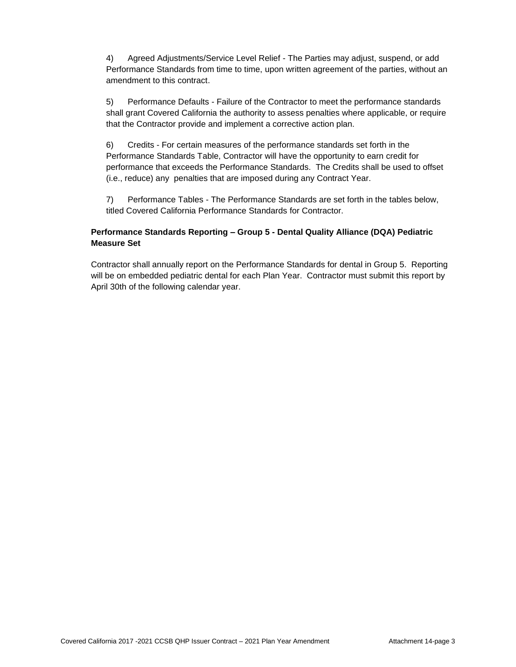4) Agreed Adjustments/Service Level Relief - The Parties may adjust, suspend, or add Performance Standards from time to time, upon written agreement of the parties, without an amendment to this contract.

5) Performance Defaults - Failure of the Contractor to meet the performance standards shall grant Covered California the authority to assess penalties where applicable, or require that the Contractor provide and implement a corrective action plan.

6) Credits - For certain measures of the performance standards set forth in the Performance Standards Table, Contractor will have the opportunity to earn credit for performance that exceeds the Performance Standards. The Credits shall be used to offset (i.e., reduce) any penalties that are imposed during any Contract Year.

7) Performance Tables - The Performance Standards are set forth in the tables below, titled Covered California Performance Standards for Contractor.

## **Performance Standards Reporting – Group 5 - Dental Quality Alliance (DQA) Pediatric Measure Set**

Contractor shall annually report on the Performance Standards for dental in Group 5. Reporting will be on embedded pediatric dental for each Plan Year. Contractor must submit this report by April 30th of the following calendar year.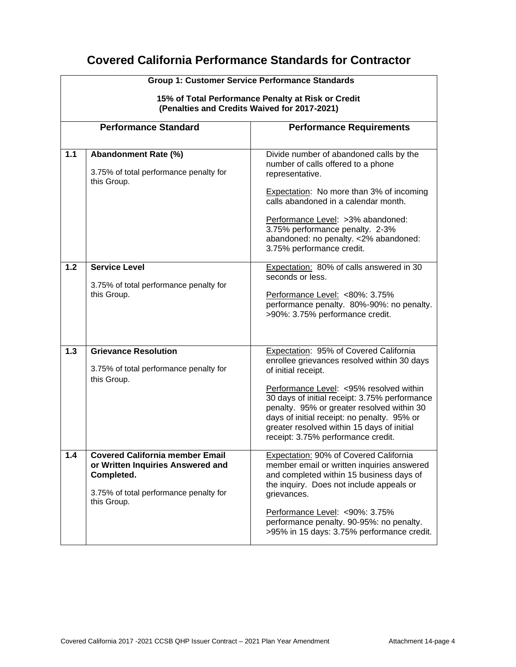# **Covered California Performance Standards for Contractor**

|     | <b>Group 1: Customer Service Performance Standards</b><br>15% of Total Performance Penalty at Risk or Credit<br>(Penalties and Credits Waived for 2017-2021) |                                                                                                                                                                                                                                                                                                                                                                                            |  |  |  |
|-----|--------------------------------------------------------------------------------------------------------------------------------------------------------------|--------------------------------------------------------------------------------------------------------------------------------------------------------------------------------------------------------------------------------------------------------------------------------------------------------------------------------------------------------------------------------------------|--|--|--|
|     | <b>Performance Standard</b>                                                                                                                                  | <b>Performance Requirements</b>                                                                                                                                                                                                                                                                                                                                                            |  |  |  |
| 1.1 | Abandonment Rate (%)<br>3.75% of total performance penalty for<br>this Group.                                                                                | Divide number of abandoned calls by the<br>number of calls offered to a phone<br>representative.<br>Expectation: No more than 3% of incoming<br>calls abandoned in a calendar month.<br>Performance Level: >3% abandoned:<br>3.75% performance penalty. 2-3%<br>abandoned: no penalty. < 2% abandoned:<br>3.75% performance credit.                                                        |  |  |  |
| 1.2 | <b>Service Level</b><br>3.75% of total performance penalty for<br>this Group.                                                                                | Expectation: 80% of calls answered in 30<br>seconds or less.<br>Performance Level: <80%: 3.75%<br>performance penalty. 80%-90%: no penalty.<br>>90%: 3.75% performance credit.                                                                                                                                                                                                             |  |  |  |
| 1.3 | <b>Grievance Resolution</b><br>3.75% of total performance penalty for<br>this Group.                                                                         | Expectation: 95% of Covered California<br>enrollee grievances resolved within 30 days<br>of initial receipt.<br>Performance Level: < 95% resolved within<br>30 days of initial receipt: 3.75% performance<br>penalty. 95% or greater resolved within 30<br>days of initial receipt: no penalty. 95% or<br>greater resolved within 15 days of initial<br>receipt: 3.75% performance credit. |  |  |  |
| 1.4 | <b>Covered California member Email</b><br>or Written Inquiries Answered and<br>Completed.<br>3.75% of total performance penalty for<br>this Group.           | Expectation: 90% of Covered California<br>member email or written inquiries answered<br>and completed within 15 business days of<br>the inquiry. Does not include appeals or<br>grievances.<br>Performance Level: < 90%: 3.75%<br>performance penalty. 90-95%: no penalty.<br>>95% in 15 days: 3.75% performance credit.                                                                   |  |  |  |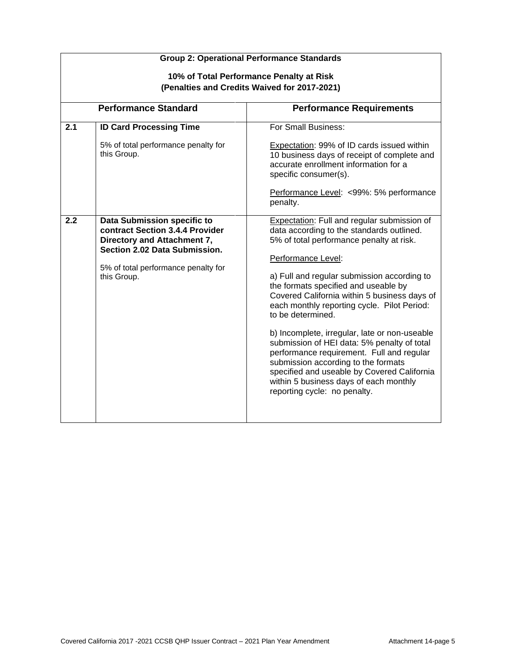|     | <b>Group 2: Operational Performance Standards</b>                                                                                                                                    |                                                                                                                                                                                                                                                                                                                                                                                                                                                                                                                                                                                                                                                                                    |  |  |  |  |  |
|-----|--------------------------------------------------------------------------------------------------------------------------------------------------------------------------------------|------------------------------------------------------------------------------------------------------------------------------------------------------------------------------------------------------------------------------------------------------------------------------------------------------------------------------------------------------------------------------------------------------------------------------------------------------------------------------------------------------------------------------------------------------------------------------------------------------------------------------------------------------------------------------------|--|--|--|--|--|
|     | 10% of Total Performance Penalty at Risk<br>(Penalties and Credits Waived for 2017-2021)                                                                                             |                                                                                                                                                                                                                                                                                                                                                                                                                                                                                                                                                                                                                                                                                    |  |  |  |  |  |
|     | <b>Performance Standard</b>                                                                                                                                                          | <b>Performance Requirements</b>                                                                                                                                                                                                                                                                                                                                                                                                                                                                                                                                                                                                                                                    |  |  |  |  |  |
| 2.1 | <b>ID Card Processing Time</b><br>5% of total performance penalty for<br>this Group.                                                                                                 | For Small Business:<br>Expectation: 99% of ID cards issued within<br>10 business days of receipt of complete and<br>accurate enrollment information for a                                                                                                                                                                                                                                                                                                                                                                                                                                                                                                                          |  |  |  |  |  |
|     |                                                                                                                                                                                      | specific consumer(s).<br>Performance Level: <99%: 5% performance<br>penalty.                                                                                                                                                                                                                                                                                                                                                                                                                                                                                                                                                                                                       |  |  |  |  |  |
| 2.2 | Data Submission specific to<br>contract Section 3.4.4 Provider<br>Directory and Attachment 7,<br>Section 2.02 Data Submission.<br>5% of total performance penalty for<br>this Group. | Expectation: Full and regular submission of<br>data according to the standards outlined.<br>5% of total performance penalty at risk.<br>Performance Level:<br>a) Full and regular submission according to<br>the formats specified and useable by<br>Covered California within 5 business days of<br>each monthly reporting cycle. Pilot Period:<br>to be determined.<br>b) Incomplete, irregular, late or non-useable<br>submission of HEI data: 5% penalty of total<br>performance requirement. Full and regular<br>submission according to the formats<br>specified and useable by Covered California<br>within 5 business days of each monthly<br>reporting cycle: no penalty. |  |  |  |  |  |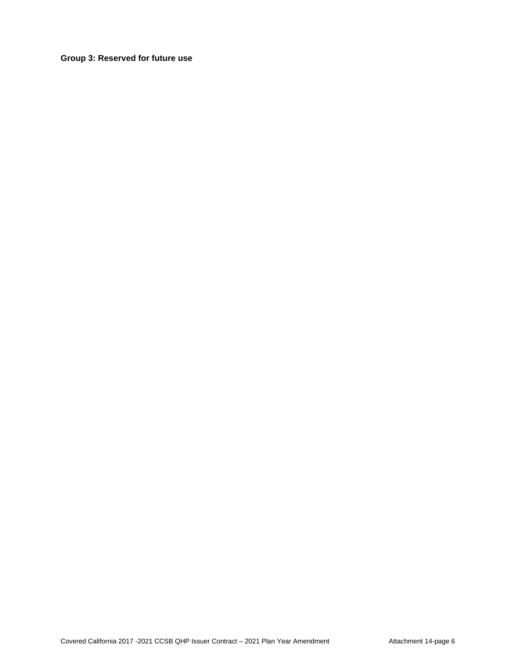**Group 3: Reserved for future use**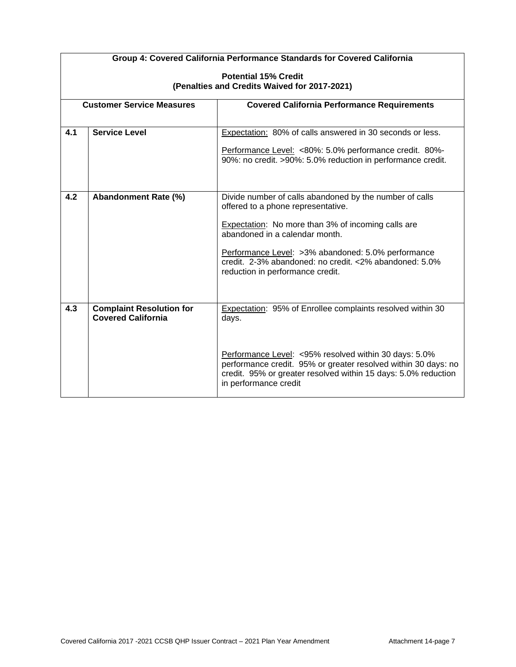|     | Group 4: Covered California Performance Standards for Covered California |                                                                                                                                                                                                                    |  |  |  |  |
|-----|--------------------------------------------------------------------------|--------------------------------------------------------------------------------------------------------------------------------------------------------------------------------------------------------------------|--|--|--|--|
|     | <b>Potential 15% Credit</b>                                              |                                                                                                                                                                                                                    |  |  |  |  |
|     |                                                                          | (Penalties and Credits Waived for 2017-2021)                                                                                                                                                                       |  |  |  |  |
|     | <b>Customer Service Measures</b>                                         | <b>Covered California Performance Requirements</b>                                                                                                                                                                 |  |  |  |  |
|     |                                                                          |                                                                                                                                                                                                                    |  |  |  |  |
| 4.1 | <b>Service Level</b>                                                     | Expectation: 80% of calls answered in 30 seconds or less.                                                                                                                                                          |  |  |  |  |
|     |                                                                          | Performance Level: <80%: 5.0% performance credit. 80%-<br>90%: no credit. >90%: 5.0% reduction in performance credit.                                                                                              |  |  |  |  |
|     |                                                                          |                                                                                                                                                                                                                    |  |  |  |  |
| 4.2 | Abandonment Rate (%)                                                     | Divide number of calls abandoned by the number of calls<br>offered to a phone representative.                                                                                                                      |  |  |  |  |
|     |                                                                          | Expectation: No more than 3% of incoming calls are<br>abandoned in a calendar month.                                                                                                                               |  |  |  |  |
|     |                                                                          | Performance Level: >3% abandoned: 5.0% performance<br>credit. 2-3% abandoned: no credit. <2% abandoned: 5.0%<br>reduction in performance credit.                                                                   |  |  |  |  |
|     |                                                                          |                                                                                                                                                                                                                    |  |  |  |  |
| 4.3 | <b>Complaint Resolution for</b><br><b>Covered California</b>             | Expectation: 95% of Enrollee complaints resolved within 30<br>days.                                                                                                                                                |  |  |  |  |
|     |                                                                          | Performance Level: <95% resolved within 30 days: 5.0%<br>performance credit. 95% or greater resolved within 30 days: no<br>credit. 95% or greater resolved within 15 days: 5.0% reduction<br>in performance credit |  |  |  |  |

 $\mathsf{r}$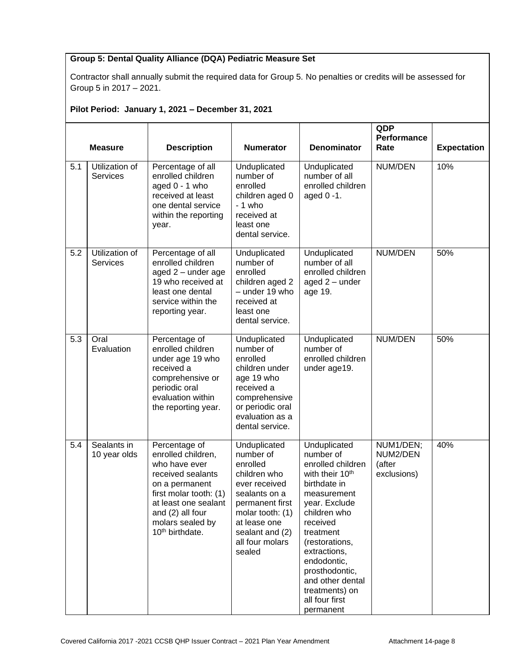## **Group 5: Dental Quality Alliance (DQA) Pediatric Measure Set**

Contractor shall annually submit the required data for Group 5. No penalties or credits will be assessed for Group 5 in 2017 – 2021.

# **Pilot Period: January 1, 2021 – December 31, 2021**

|     | <b>Measure</b>                    | <b>Description</b>                                                                                                                                                                                                   | <b>Numerator</b>                                                                                                                                                                               | <b>Denominator</b>                                                                                                                                                                                                                                                                                             | QDP<br>Performance<br>Rate                     | <b>Expectation</b> |
|-----|-----------------------------------|----------------------------------------------------------------------------------------------------------------------------------------------------------------------------------------------------------------------|------------------------------------------------------------------------------------------------------------------------------------------------------------------------------------------------|----------------------------------------------------------------------------------------------------------------------------------------------------------------------------------------------------------------------------------------------------------------------------------------------------------------|------------------------------------------------|--------------------|
| 5.1 | Utilization of<br><b>Services</b> | Percentage of all<br>enrolled children<br>aged 0 - 1 who<br>received at least<br>one dental service<br>within the reporting<br>year.                                                                                 | Unduplicated<br>number of<br>enrolled<br>children aged 0<br>- 1 who<br>received at<br>least one<br>dental service.                                                                             | Unduplicated<br>number of all<br>enrolled children<br>aged 0 -1.                                                                                                                                                                                                                                               | NUM/DEN                                        | 10%                |
| 5.2 | Utilization of<br>Services        | Percentage of all<br>enrolled children<br>aged 2 - under age<br>19 who received at<br>least one dental<br>service within the<br>reporting year.                                                                      | Unduplicated<br>number of<br>enrolled<br>children aged 2<br>- under 19 who<br>received at<br>least one<br>dental service.                                                                      | Unduplicated<br>number of all<br>enrolled children<br>aged 2 - under<br>age 19.                                                                                                                                                                                                                                | NUM/DEN                                        | 50%                |
| 5.3 | Oral<br>Evaluation                | Percentage of<br>enrolled children<br>under age 19 who<br>received a<br>comprehensive or<br>periodic oral<br>evaluation within<br>the reporting year.                                                                | Unduplicated<br>number of<br>enrolled<br>children under<br>age 19 who<br>received a<br>comprehensive<br>or periodic oral<br>evaluation as a<br>dental service.                                 | Unduplicated<br>number of<br>enrolled children<br>under age19.                                                                                                                                                                                                                                                 | NUM/DEN                                        | 50%                |
| 5.4 | Sealants in<br>10 year olds       | Percentage of<br>enrolled children,<br>who have ever<br>received sealants<br>on a permanent<br>first molar tooth: (1)<br>at least one sealant<br>and (2) all four<br>molars sealed by<br>10 <sup>th</sup> birthdate. | Unduplicated<br>number of<br>enrolled<br>children who<br>ever received<br>sealants on a<br>permanent first<br>molar tooth: (1)<br>at lease one<br>sealant and (2)<br>all four molars<br>sealed | Unduplicated<br>number of<br>enrolled children<br>with their 10 <sup>th</sup><br>birthdate in<br>measurement<br>year. Exclude<br>children who<br>received<br>treatment<br>(restorations,<br>extractions,<br>endodontic,<br>prosthodontic,<br>and other dental<br>treatments) on<br>all four first<br>permanent | NUM1/DEN;<br>NUM2/DEN<br>(after<br>exclusions) | 40%                |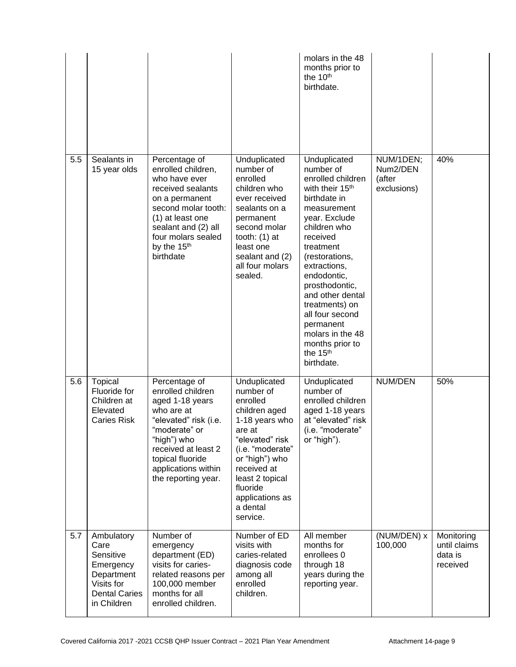|     |                                                                                                                 |                                                                                                                                                                                                                             |                                                                                                                                                                                                                                      | molars in the 48<br>months prior to<br>the 10 <sup>th</sup><br>birthdate.                                                                                                                                                                                                                                                                                                        |                                                |                                                   |
|-----|-----------------------------------------------------------------------------------------------------------------|-----------------------------------------------------------------------------------------------------------------------------------------------------------------------------------------------------------------------------|--------------------------------------------------------------------------------------------------------------------------------------------------------------------------------------------------------------------------------------|----------------------------------------------------------------------------------------------------------------------------------------------------------------------------------------------------------------------------------------------------------------------------------------------------------------------------------------------------------------------------------|------------------------------------------------|---------------------------------------------------|
| 5.5 | Sealants in<br>15 year olds                                                                                     | Percentage of<br>enrolled children,<br>who have ever<br>received sealants<br>on a permanent<br>second molar tooth:<br>(1) at least one<br>sealant and (2) all<br>four molars sealed<br>by the 15 <sup>th</sup><br>birthdate | Unduplicated<br>number of<br>enrolled<br>children who<br>ever received<br>sealants on a<br>permanent<br>second molar<br>tooth: $(1)$ at<br>least one<br>sealant and (2)<br>all four molars<br>sealed.                                | Unduplicated<br>number of<br>enrolled children<br>with their 15 <sup>th</sup><br>birthdate in<br>measurement<br>year. Exclude<br>children who<br>received<br>treatment<br>(restorations,<br>extractions,<br>endodontic,<br>prosthodontic,<br>and other dental<br>treatments) on<br>all four second<br>permanent<br>molars in the 48<br>months prior to<br>the 15th<br>birthdate. | NUM/1DEN;<br>Num2/DEN<br>(after<br>exclusions) | 40%                                               |
| 5.6 | Topical<br>Fluoride for<br>Children at<br>Elevated<br><b>Caries Risk</b>                                        | Percentage of<br>enrolled children<br>aged 1-18 years<br>who are at<br>"elevated" risk (i.e.<br>"moderate" or<br>"high") who<br>received at least 2<br>topical fluoride<br>applications within<br>the reporting year.       | Unduplicated<br>number of<br>enrolled<br>children aged<br>1-18 years who<br>are at<br>"elevated" risk<br>(i.e. "moderate"<br>or "high") who<br>received at<br>least 2 topical<br>fluoride<br>applications as<br>a dental<br>service. | Unduplicated<br>number of<br>enrolled children<br>aged 1-18 years<br>at "elevated" risk<br>(i.e. "moderate"<br>or "high").                                                                                                                                                                                                                                                       | NUM/DEN                                        | 50%                                               |
| 5.7 | Ambulatory<br>Care<br>Sensitive<br>Emergency<br>Department<br>Visits for<br><b>Dental Caries</b><br>in Children | Number of<br>emergency<br>department (ED)<br>visits for caries-<br>related reasons per<br>100,000 member<br>months for all<br>enrolled children.                                                                            | Number of ED<br>visits with<br>caries-related<br>diagnosis code<br>among all<br>enrolled<br>children.                                                                                                                                | All member<br>months for<br>enrollees 0<br>through 18<br>years during the<br>reporting year.                                                                                                                                                                                                                                                                                     | (NUM/DEN) x<br>100,000                         | Monitoring<br>until claims<br>data is<br>received |